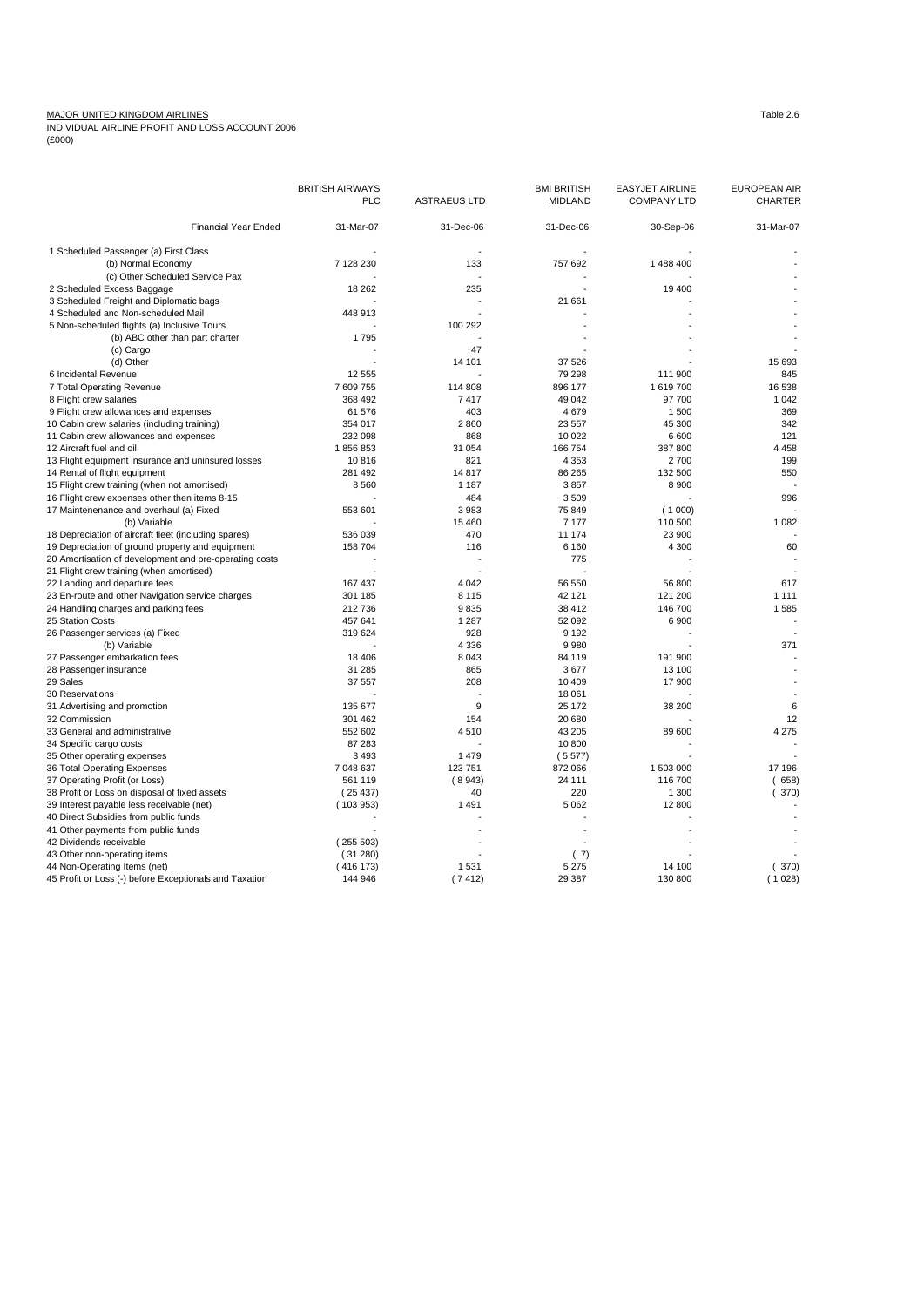# MAJOR UNITED KINGDOM AIRLINES<br><u>INDIVIDUAL AIRLINE PROFIT AND LOSS ACCOUNT 2006</u><br>(£000)

|                                                        | <b>BRITISH AIRWAYS</b> |                     | <b>BMI BRITISH</b> | <b>EASYJET AIRLINE</b> | EUROPEAN AIR   |
|--------------------------------------------------------|------------------------|---------------------|--------------------|------------------------|----------------|
|                                                        | PLC                    | <b>ASTRAEUS LTD</b> | <b>MIDLAND</b>     | <b>COMPANY LTD</b>     | <b>CHARTER</b> |
| <b>Financial Year Ended</b>                            | 31-Mar-07              | 31-Dec-06           | 31-Dec-06          | 30-Sep-06              | 31-Mar-07      |
|                                                        |                        |                     |                    |                        |                |
| 1 Scheduled Passenger (a) First Class                  |                        | ٠.                  |                    |                        |                |
| (b) Normal Economy                                     | 7 128 230              | 133                 | 757 692            | 1 488 400              |                |
| (c) Other Scheduled Service Pax                        |                        |                     |                    |                        |                |
| 2 Scheduled Excess Baggage                             | 18 26 2                | 235                 |                    | 19 400                 |                |
| 3 Scheduled Freight and Diplomatic bags                |                        |                     | 21 661             |                        |                |
| 4 Scheduled and Non-scheduled Mail                     | 448 913                |                     |                    |                        |                |
| 5 Non-scheduled flights (a) Inclusive Tours            |                        | 100 292             |                    |                        |                |
| (b) ABC other than part charter                        | 1795                   |                     |                    |                        |                |
| (c) Cargo                                              |                        | 47                  |                    |                        |                |
| (d) Other                                              |                        | 14 101              | 37 526             |                        | 15 693         |
| 6 Incidental Revenue                                   | 12 555                 |                     | 79 298             | 111 900                | 845            |
| 7 Total Operating Revenue                              | 7 609 755              | 114 808             | 896 177            | 1619700                | 16 538         |
| 8 Flight crew salaries                                 | 368 492                | 7417                | 49 042             | 97 700                 | 1 0 4 2        |
| 9 Flight crew allowances and expenses                  | 61 576                 | 403                 | 4679               | 1500                   | 369            |
| 10 Cabin crew salaries (including training)            | 354 017                | 2860                | 23 557             | 45 300                 | 342            |
| 11 Cabin crew allowances and expenses                  | 232 098                | 868                 | 10 022             | 6600                   | 121            |
| 12 Aircraft fuel and oil                               | 1856853                | 31 054              | 166 754            | 387 800                | 4458           |
| 13 Flight equipment insurance and uninsured losses     | 10816                  | 821                 | 4 3 5 3            | 2700                   | 199            |
| 14 Rental of flight equipment                          | 281 492                | 14 817              | 86 265             | 132 500                | 550            |
| 15 Flight crew training (when not amortised)           | 8560                   | 1 1 8 7             | 3857               | 8900                   |                |
| 16 Flight crew expenses other then items 8-15          |                        | 484                 | 3509               |                        | 996            |
| 17 Maintenenance and overhaul (a) Fixed                | 553 601                | 3983                | 75 849             | (1000)                 |                |
| (b) Variable                                           |                        | 15 4 60             | 7 1 7 7            | 110 500                | 1 0 8 2        |
| 18 Depreciation of aircraft fleet (including spares)   | 536 039                | 470                 | 11 174             | 23 900                 |                |
| 19 Depreciation of ground property and equipment       | 158 704                | 116                 | 6 160              | 4 3 0 0                | 60             |
| 20 Amortisation of development and pre-operating costs |                        |                     | 775                |                        |                |
| 21 Flight crew training (when amortised)               |                        |                     |                    |                        |                |
| 22 Landing and departure fees                          | 167 437                | 4 0 4 2             | 56 550             | 56 800                 | 617            |
| 23 En-route and other Navigation service charges       | 301 185                | 8 1 1 5             | 42 121             | 121 200                | 1 1 1 1        |
| 24 Handling charges and parking fees                   | 212 736                | 9835                | 38 412             | 146 700                | 1585           |
| 25 Station Costs                                       | 457 641                | 1 2 8 7             | 52 092             | 6900                   |                |
|                                                        | 319 624                | 928                 | 9 1 9 2            |                        |                |
| 26 Passenger services (a) Fixed                        |                        |                     |                    |                        |                |
| (b) Variable                                           |                        | 4 3 3 6             | 9980               |                        | 371            |
| 27 Passenger embarkation fees                          | 18 40 6                | 8 0 4 3             | 84 119             | 191 900                |                |
| 28 Passenger insurance                                 | 31 285                 | 865                 | 3677               | 13 100                 |                |
| 29 Sales                                               | 37 557                 | 208                 | 10 409             | 17 900                 |                |
| 30 Reservations                                        |                        |                     | 18 061             |                        |                |
| 31 Advertising and promotion                           | 135 677                | 9                   | 25 172             | 38 200                 | 6              |
| 32 Commission                                          | 301 462                | 154                 | 20 680             |                        | 12             |
| 33 General and administrative                          | 552 602                | 4510                | 43 205             | 89 600                 | 4 2 7 5        |
| 34 Specific cargo costs                                | 87 283                 |                     | 10 800             |                        |                |
| 35 Other operating expenses                            | 3493                   | 1479                | (5577)             |                        |                |
| 36 Total Operating Expenses                            | 7 048 637              | 123 751             | 872 066            | 1 503 000              | 17 196         |
| 37 Operating Profit (or Loss)                          | 561 119                | (8943)              | 24 111             | 116 700                | 658)           |
| 38 Profit or Loss on disposal of fixed assets          | (25437)                | 40                  | 220                | 1 300                  | 370)           |
| 39 Interest payable less receivable (net)              | (103953)               | 1 4 9 1             | 5 0 6 2            | 12 800                 |                |
| 40 Direct Subsidies from public funds                  |                        |                     |                    |                        |                |
| 41 Other payments from public funds                    |                        |                     |                    |                        |                |
| 42 Dividends receivable                                | (255503)               |                     |                    |                        |                |
| 43 Other non-operating items                           | (31280)                |                     | (7)                |                        |                |
| 44 Non-Operating Items (net)                           | (416 173)              | 1 5 3 1             | 5 2 7 5            | 14 100                 | 370)           |
| 45 Profit or Loss (-) before Exceptionals and Taxation | 144 946                | (7412)              | 29 387             | 130 800                | (1028)         |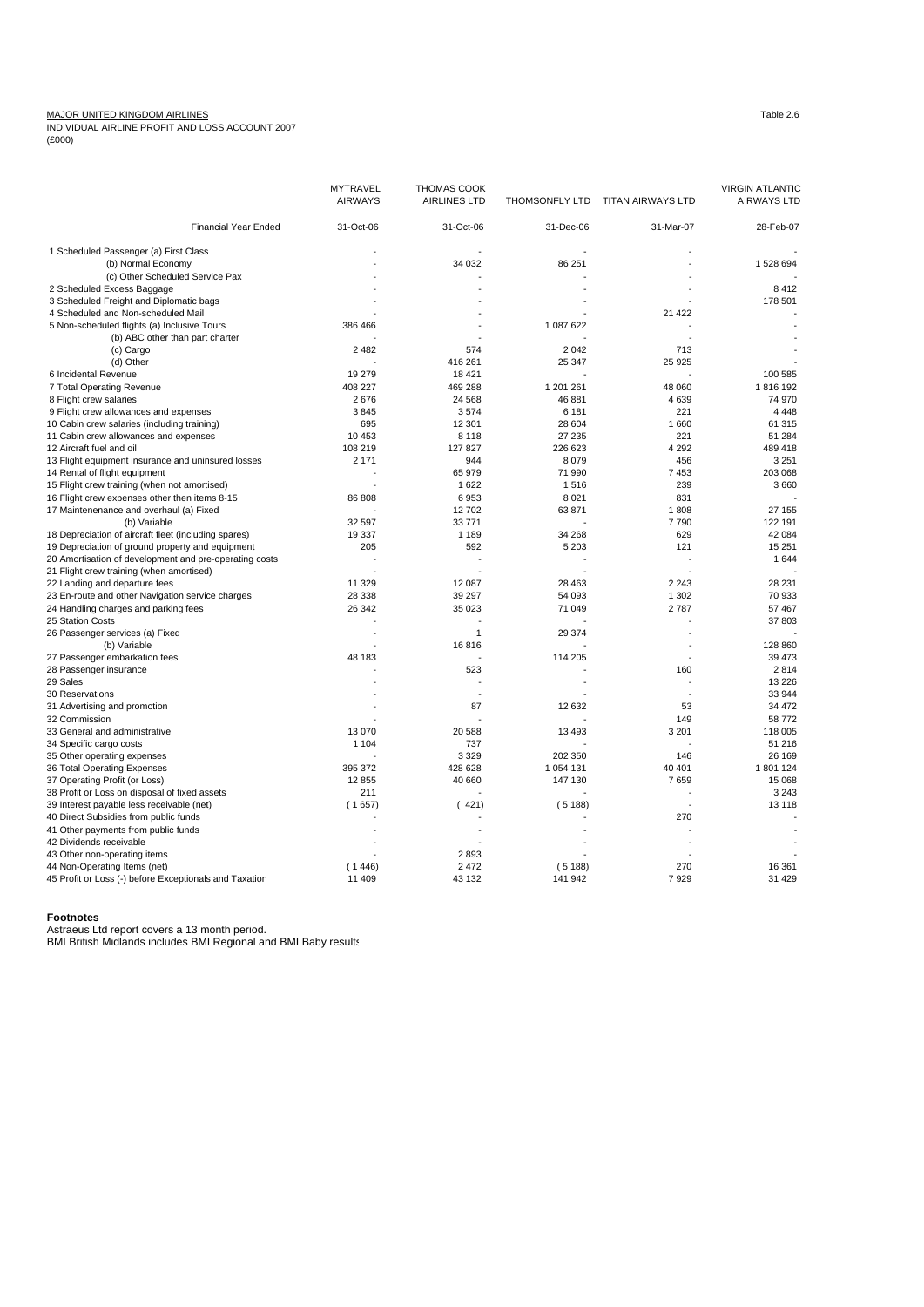# MAJOR UNITED KINGDOM AIRLINES<br><u>INDIVIDUAL AIRLINE PROFIT AND LOSS ACCOUNT 2007</u><br>(£000)

|                                                        | <b>MYTRAVEL</b><br><b>AIRWAYS</b> | <b>THOMAS COOK</b><br><b>AIRLINES LTD</b> | THOMSONFLY LTD | TITAN AIRWAYS LTD | <b>VIRGIN ATLANTIC</b><br><b>AIRWAYS LTD</b> |
|--------------------------------------------------------|-----------------------------------|-------------------------------------------|----------------|-------------------|----------------------------------------------|
| <b>Financial Year Ended</b>                            | 31-Oct-06                         | 31-Oct-06                                 | 31-Dec-06      | 31-Mar-07         | 28-Feb-07                                    |
| 1 Scheduled Passenger (a) First Class                  |                                   |                                           |                |                   |                                              |
| (b) Normal Economy                                     |                                   | 34 032                                    | 86 251         |                   | 1 528 694                                    |
| (c) Other Scheduled Service Pax                        |                                   |                                           |                |                   |                                              |
| 2 Scheduled Excess Baggage                             |                                   |                                           |                |                   | 8412                                         |
| 3 Scheduled Freight and Diplomatic bags                |                                   |                                           |                |                   | 178 501                                      |
| 4 Scheduled and Non-scheduled Mail                     |                                   |                                           |                | 21 4 22           |                                              |
| 5 Non-scheduled flights (a) Inclusive Tours            | 386 466                           |                                           | 1 087 622      |                   |                                              |
| (b) ABC other than part charter                        |                                   |                                           |                |                   |                                              |
| (c) Cargo                                              | 2 4 8 2                           | 574                                       | 2 0 4 2        | 713               |                                              |
| (d) Other                                              |                                   | 416 261                                   | 25 347         | 25 9 25           |                                              |
| 6 Incidental Revenue                                   | 19 279                            | 18 4 21                                   |                |                   | 100 585                                      |
| 7 Total Operating Revenue                              | 408 227                           | 469 288                                   | 1 201 261      | 48 060            | 1816 192                                     |
| 8 Flight crew salaries                                 | 2676                              | 24 5 68                                   | 46 881         | 4639              | 74 970                                       |
| 9 Flight crew allowances and expenses                  | 3845                              | 3574                                      | 6 181          | 221               | 4 4 4 8                                      |
| 10 Cabin crew salaries (including training)            | 695                               | 12 301                                    | 28 604         | 1660              | 61 315                                       |
| 11 Cabin crew allowances and expenses                  | 10 453                            | 8 1 1 8                                   | 27 235         | 221               | 51 284                                       |
| 12 Aircraft fuel and oil                               | 108 219                           | 127 827                                   | 226 623        | 4 2 9 2           | 489 418                                      |
|                                                        |                                   |                                           | 8 0 7 9        |                   | 3 2 5 1                                      |
| 13 Flight equipment insurance and uninsured losses     | 2 1 7 1                           | 944<br>65 979                             | 71 990         | 456<br>7453       | 203 068                                      |
| 14 Rental of flight equipment                          |                                   | 1622                                      | 1516           | 239               | 3 6 6 0                                      |
| 15 Flight crew training (when not amortised)           |                                   |                                           |                |                   |                                              |
| 16 Flight crew expenses other then items 8-15          | 86 808                            | 6953                                      | 8 0 21         | 831               |                                              |
| 17 Maintenenance and overhaul (a) Fixed                |                                   | 12702                                     | 63 871         | 1808              | 27 155                                       |
| (b) Variable                                           | 32 597                            | 33771                                     |                | 7790              | 122 191                                      |
| 18 Depreciation of aircraft fleet (including spares)   | 19 337                            | 1 1 8 9                                   | 34 268         | 629               | 42 084                                       |
| 19 Depreciation of ground property and equipment       | 205                               | 592                                       | 5 2 0 3        | 121               | 15 251                                       |
| 20 Amortisation of development and pre-operating costs |                                   |                                           |                |                   | 1 6 4 4                                      |
| 21 Flight crew training (when amortised)               |                                   |                                           |                |                   |                                              |
| 22 Landing and departure fees                          | 11 329                            | 12 087                                    | 28 4 63        | 2 2 4 3           | 28 231                                       |
| 23 En-route and other Navigation service charges       | 28 338                            | 39 29 7                                   | 54 093         | 1 3 0 2           | 70 933                                       |
| 24 Handling charges and parking fees                   | 26 342                            | 35 023                                    | 71 049         | 2787              | 57 467                                       |
| 25 Station Costs                                       |                                   |                                           |                |                   | 37 803                                       |
| 26 Passenger services (a) Fixed                        |                                   | 1                                         | 29 374         |                   |                                              |
| (b) Variable                                           |                                   | 16816                                     |                |                   | 128 860                                      |
| 27 Passenger embarkation fees                          | 48 183                            |                                           | 114 205        |                   | 39 473                                       |
| 28 Passenger insurance                                 |                                   | 523                                       |                | 160               | 2814                                         |
| 29 Sales                                               |                                   |                                           |                |                   | 13 2 26                                      |
| 30 Reservations                                        |                                   |                                           |                |                   | 33 944                                       |
| 31 Advertising and promotion                           |                                   | 87                                        | 12 632         | 53                | 34 472                                       |
| 32 Commission                                          |                                   |                                           |                | 149               | 58772                                        |
| 33 General and administrative                          | 13 070                            | 20 588                                    | 13 4 9 3       | 3 2 0 1           | 118 005                                      |
| 34 Specific cargo costs                                | 1 1 0 4                           | 737                                       |                |                   | 51 216                                       |
| 35 Other operating expenses                            |                                   | 3 3 2 9                                   | 202 350        | 146               | 26 169                                       |
| 36 Total Operating Expenses                            | 395 372                           | 428 628                                   | 1 054 131      | 40 401            | 1 801 124                                    |
| 37 Operating Profit (or Loss)                          | 12855                             | 40 660                                    | 147 130        | 7659              | 15 068                                       |
| 38 Profit or Loss on disposal of fixed assets          | 211                               |                                           |                |                   | 3 2 4 3                                      |
| 39 Interest payable less receivable (net)              | (1657)                            | (421)                                     | (5188)         |                   | 13 118                                       |
| 40 Direct Subsidies from public funds                  |                                   |                                           |                | 270               |                                              |
| 41 Other payments from public funds                    |                                   |                                           |                |                   |                                              |
| 42 Dividends receivable                                |                                   |                                           |                |                   |                                              |
| 43 Other non-operating items                           |                                   | 2893                                      |                |                   |                                              |
| 44 Non-Operating Items (net)                           | (1446)                            | 2 4 7 2                                   | (5188)         | 270               | 16 361                                       |
| 45 Profit or Loss (-) before Exceptionals and Taxation | 11 409                            | 43 132                                    | 141 942        | 7929              | 31 4 29                                      |

**Footnotes**<br>Astraeus Ltd report covers a 13 month period.<br>BMI British Midlands includes BMI Regional and BMI Baby results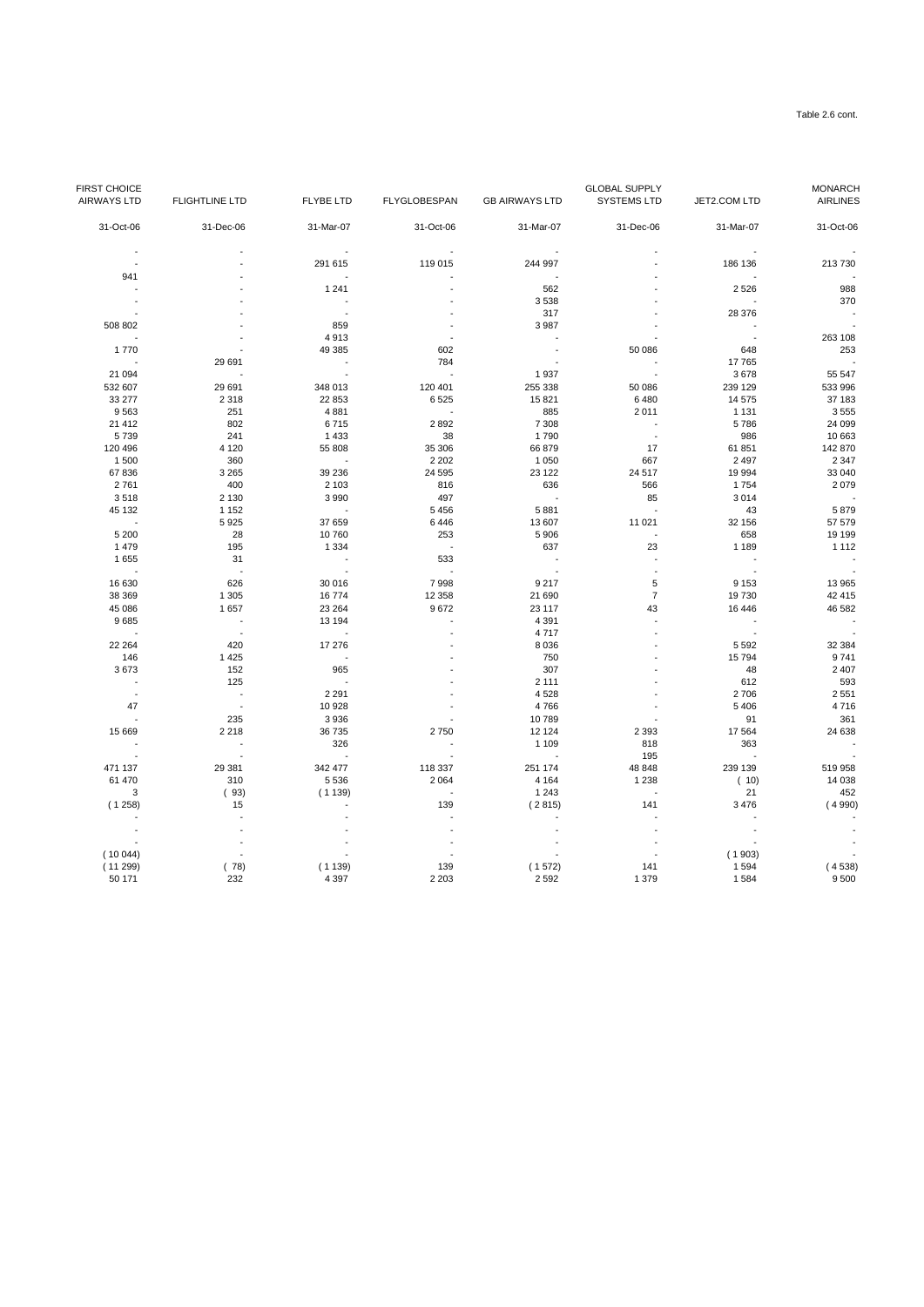| <b>FIRST CHOICE</b><br><b>GLOBAL SUPPLY</b><br><b>FLYGLOBESPAN</b><br><b>GB AIRWAYS LTD</b><br>JET2.COM LTD<br><b>AIRWAYS LTD</b><br><b>FLIGHTLINE LTD</b><br>FLYBE LTD<br><b>SYSTEMS LTD</b><br>31-Dec-06<br>31-Oct-06<br>31-Oct-06<br>31-Mar-07<br>31-Mar-07<br>31-Dec-06<br>31-Mar-07<br>291 615<br>119 015<br>244 997<br>186 136 | <b>MONARCH</b><br><b>AIRLINES</b><br>31-Oct-06<br>213 730 |
|--------------------------------------------------------------------------------------------------------------------------------------------------------------------------------------------------------------------------------------------------------------------------------------------------------------------------------------|-----------------------------------------------------------|
|                                                                                                                                                                                                                                                                                                                                      |                                                           |
|                                                                                                                                                                                                                                                                                                                                      |                                                           |
|                                                                                                                                                                                                                                                                                                                                      |                                                           |
|                                                                                                                                                                                                                                                                                                                                      |                                                           |
| 941<br>$\overline{a}$                                                                                                                                                                                                                                                                                                                |                                                           |
| 1 2 4 1<br>562<br>2 5 2 6                                                                                                                                                                                                                                                                                                            | 988                                                       |
| 3538<br>$\sim$                                                                                                                                                                                                                                                                                                                       | 370                                                       |
| 317<br>28 376                                                                                                                                                                                                                                                                                                                        |                                                           |
| 508 802<br>859<br>3 9 8 7<br>$\overline{\phantom{a}}$<br>4913<br>$\sim$<br>$\overline{a}$                                                                                                                                                                                                                                            | 263 108                                                   |
| 1770<br>49 385<br>602<br>50 086<br>$\overline{\phantom{a}}$                                                                                                                                                                                                                                                                          |                                                           |
| 648<br>29 691<br>784<br>17 765<br>$\overline{\phantom{a}}$                                                                                                                                                                                                                                                                           | 253<br>$\overline{\phantom{a}}$                           |
| 21 094<br>1937<br>3678<br>$\overline{\phantom{a}}$<br>$\sim$<br>$\overline{a}$                                                                                                                                                                                                                                                       | 55 547                                                    |
| 120 401<br>532 607<br>29 691<br>348 013<br>255 338<br>50 086<br>239 129                                                                                                                                                                                                                                                              | 533 996                                                   |
| 33 277<br>2 3 1 8<br>22 853<br>6525<br>15 821<br>6480<br>14 575                                                                                                                                                                                                                                                                      | 37 183                                                    |
| 9563<br>251<br>4881<br>885<br>2011<br>1 1 3 1                                                                                                                                                                                                                                                                                        | 3555                                                      |
| 21 4 12<br>802<br>2892<br>7 3 0 8<br>5786<br>6715<br>$\overline{a}$                                                                                                                                                                                                                                                                  | 24 099                                                    |
| 5739<br>241<br>1 4 3 3<br>38<br>1790<br>986<br>$\sim$                                                                                                                                                                                                                                                                                | 10 663                                                    |
| 120 496<br>4 1 2 0<br>55 808<br>66879<br>17<br>61 851<br>35 306                                                                                                                                                                                                                                                                      | 142 870                                                   |
| 1500<br>360<br>2 2 0 2<br>1 0 5 0<br>667<br>2 4 9 7<br>$\overline{\phantom{a}}$                                                                                                                                                                                                                                                      | 2 3 4 7                                                   |
| 67836<br>3 2 6 5<br>39 236<br>24 5 95<br>23 122<br>24 517<br>19 994                                                                                                                                                                                                                                                                  | 33 040                                                    |
| 2761<br>400<br>2 1 0 3<br>816<br>636<br>566<br>1754                                                                                                                                                                                                                                                                                  | 2079                                                      |
| 497<br>3014<br>3518<br>2 1 3 0<br>3 9 9 0<br>85<br>$\sim$                                                                                                                                                                                                                                                                            |                                                           |
| 45 132<br>1 1 5 2<br>5 4 5 6<br>5881<br>43<br>$\sim$<br>$\overline{\phantom{a}}$                                                                                                                                                                                                                                                     | 5879                                                      |
| 5925<br>11 0 21<br>$\sim$ $-$<br>37 659<br>6446<br>13 607<br>32 156                                                                                                                                                                                                                                                                  | 57 579                                                    |
| 5 2 0 0<br>28<br>253<br>10760<br>5 9 0 6<br>658                                                                                                                                                                                                                                                                                      | 19 199                                                    |
| 195<br>1479<br>$\sim$<br>637<br>23<br>1 1 8 9<br>1 3 3 4                                                                                                                                                                                                                                                                             | 1 1 1 2                                                   |
| 533<br>1655<br>31<br>$\overline{\phantom{a}}$                                                                                                                                                                                                                                                                                        |                                                           |
| $\sim$<br>$\sim$<br>- -<br>$\overline{a}$                                                                                                                                                                                                                                                                                            |                                                           |
| 16 630<br>626<br>30 016<br>7998<br>9 2 1 7<br>5<br>9 1 5 3                                                                                                                                                                                                                                                                           | 13 965                                                    |
| 38 36 9<br>1 3 0 5<br>12 3 58<br>$\overline{7}$<br>19730<br>16774<br>21 690                                                                                                                                                                                                                                                          | 42 415                                                    |
| 1657<br>9672<br>43<br>16 4 46<br>45 086<br>23 264<br>23 117                                                                                                                                                                                                                                                                          | 46 582                                                    |
| 9685<br>4 3 9 1<br>13 194<br>$\sim$                                                                                                                                                                                                                                                                                                  |                                                           |
| $\sim$<br>4717<br>$\sim$<br>$\sim$ $-$<br>- 1                                                                                                                                                                                                                                                                                        |                                                           |
| 22 264<br>420<br>17 276<br>8 0 3 6<br>5 5 9 2                                                                                                                                                                                                                                                                                        | 32 384                                                    |
| 750<br>146<br>1 4 2 5<br>15794<br>$\sim$                                                                                                                                                                                                                                                                                             | 9741                                                      |
| 3673<br>152<br>965<br>307<br>48                                                                                                                                                                                                                                                                                                      | 2 4 0 7                                                   |
| 125<br>$\sim$ $-$<br>2 1 1 1<br>612<br>$\overline{\phantom{a}}$                                                                                                                                                                                                                                                                      | 593                                                       |
| $\sim$ $-$<br>2 2 9 1<br>4528<br>2706<br>$\overline{\phantom{a}}$                                                                                                                                                                                                                                                                    | 2 5 5 1                                                   |
| 47<br>10 928<br>4766<br>5 4 0 6<br>$\overline{\phantom{a}}$                                                                                                                                                                                                                                                                          | 4716                                                      |
| 235<br>91<br>3936<br>10789                                                                                                                                                                                                                                                                                                           | 361                                                       |
| 17 5 64<br>15 669<br>2 2 1 8<br>36 735<br>2750<br>12 124<br>2 3 9 3                                                                                                                                                                                                                                                                  | 24 638                                                    |
| 326<br>818<br>363<br>$\sim$<br>1 1 0 9<br>$\sim$<br>$\sim$                                                                                                                                                                                                                                                                           |                                                           |
| $\sim$<br>195<br>$\sim$<br>$\overline{\phantom{a}}$<br>$\sim$                                                                                                                                                                                                                                                                        |                                                           |
| 471 137<br>29 381<br>342 477<br>118 337<br>251 174<br>48 848<br>239 139                                                                                                                                                                                                                                                              | 519 958                                                   |
| 61 470<br>310<br>5 5 3 6<br>2 0 6 4<br>1 2 3 8<br>4 1 6 4<br>(10)                                                                                                                                                                                                                                                                    | 14 0 38                                                   |
| 3<br>(93)<br>(1139)<br>1 2 4 3<br>21                                                                                                                                                                                                                                                                                                 | 452                                                       |
| (1258)<br>15<br>139<br>(2815)<br>141<br>3 4 7 6<br>$\sim$                                                                                                                                                                                                                                                                            | (4990)                                                    |
| $\sim$                                                                                                                                                                                                                                                                                                                               |                                                           |
|                                                                                                                                                                                                                                                                                                                                      |                                                           |
| (10044)<br>(1903)                                                                                                                                                                                                                                                                                                                    |                                                           |
| (11299)<br>(1139)<br>139<br>1 5 9 4<br>(78)<br>(1572)<br>141                                                                                                                                                                                                                                                                         | (4538)                                                    |
| 232<br>4 3 9 7<br>2 2 0 3<br>2 5 9 2<br>1 3 7 9<br>1584<br>50 171                                                                                                                                                                                                                                                                    | 9500                                                      |